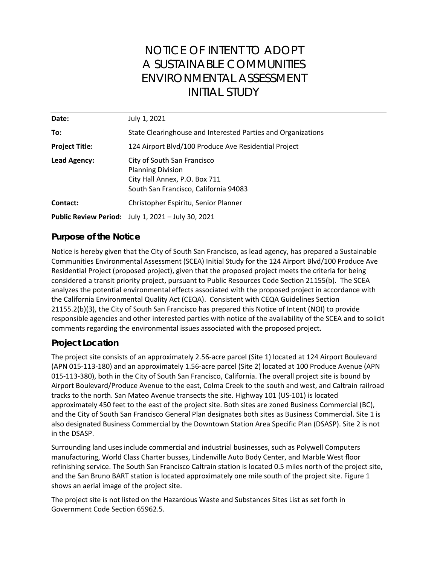# NOTICE OF INTENT TO ADOPT A SUSTAINABLE COMMUNITIES ENVIRONMENTAL ASSESSMENT INITIAL STUDY

| Date:                 | July 1, 2021                                                                                                                      |
|-----------------------|-----------------------------------------------------------------------------------------------------------------------------------|
| To:                   | State Clearinghouse and Interested Parties and Organizations                                                                      |
| <b>Project Title:</b> | 124 Airport Blvd/100 Produce Ave Residential Project                                                                              |
| Lead Agency:          | City of South San Francisco<br><b>Planning Division</b><br>City Hall Annex, P.O. Box 711<br>South San Francisco, California 94083 |
| Contact:              | Christopher Espiritu, Senior Planner                                                                                              |
|                       | Public Review Period: July 1, 2021 - July 30, 2021                                                                                |

### **Purpose of the Notice**

Notice is hereby given that the City of South San Francisco, as lead agency, has prepared a Sustainable Communities Environmental Assessment (SCEA) Initial Study for the 124 Airport Blvd/100 Produce Ave Residential Project (proposed project), given that the proposed project meets the criteria for being considered a transit priority project, pursuant to Public Resources Code Section 21155(b). The SCEA analyzes the potential environmental effects associated with the proposed project in accordance with the California Environmental Quality Act (CEQA). Consistent with CEQA Guidelines Section 21155.2(b)(3), the City of South San Francisco has prepared this Notice of Intent (NOI) to provide responsible agencies and other interested parties with notice of the availability of the SCEA and to solicit comments regarding the environmental issues associated with the proposed project.

## **Project Location**

The project site consists of an approximately 2.56-acre parcel (Site 1) located at 124 Airport Boulevard (APN 015-113-180) and an approximately 1.56-acre parcel (Site 2) located at 100 Produce Avenue (APN 015-113-380), both in the City of South San Francisco, California. The overall project site is bound by Airport Boulevard/Produce Avenue to the east, Colma Creek to the south and west, and Caltrain railroad tracks to the north. San Mateo Avenue transects the site. Highway 101 (US-101) is located approximately 450 feet to the east of the project site. Both sites are zoned Business Commercial (BC), and the City of South San Francisco General Plan designates both sites as Business Commercial. Site 1 is also designated Business Commercial by the Downtown Station Area Specific Plan (DSASP). Site 2 is not in the DSASP.

Surrounding land uses include commercial and industrial businesses, such as Polywell Computers manufacturing, World Class Charter busses, Lindenville Auto Body Center, and Marble West floor refinishing service. The South San Francisco Caltrain station is located 0.5 miles north of the project site, and the San Bruno BART station is located approximately one mile south of the project site. Figure 1 shows an aerial image of the project site.

The project site is not listed on the Hazardous Waste and Substances Sites List as set forth in Government Code Section 65962.5.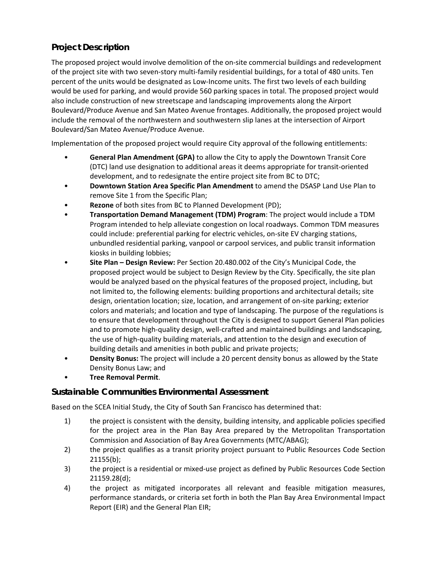# **Project Description**

The proposed project would involve demolition of the on-site commercial buildings and redevelopment of the project site with two seven-story multi-family residential buildings, for a total of 480 units. Ten percent of the units would be designated as Low-Income units. The first two levels of each building would be used for parking, and would provide 560 parking spaces in total. The proposed project would also include construction of new streetscape and landscaping improvements along the Airport Boulevard/Produce Avenue and San Mateo Avenue frontages. Additionally, the proposed project would include the removal of the northwestern and southwestern slip lanes at the intersection of Airport Boulevard/San Mateo Avenue/Produce Avenue.

Implementation of the proposed project would require City approval of the following entitlements:

- **General Plan Amendment (GPA)** to allow the City to apply the Downtown Transit Core (DTC) land use designation to additional areas it deems appropriate for transit-oriented development, and to redesignate the entire project site from BC to DTC;
- **Downtown Station Area Specific Plan Amendment** to amend the DSASP Land Use Plan to remove Site 1 from the Specific Plan;
- **Rezone** of both sites from BC to Planned Development (PD);
- **Transportation Demand Management (TDM) Program**: The project would include a TDM Program intended to help alleviate congestion on local roadways. Common TDM measures could include: preferential parking for electric vehicles, on-site EV charging stations, unbundled residential parking, vanpool or carpool services, and public transit information kiosks in building lobbies;
- **Site Plan – Design Review:** Per Section 20.480.002 of the City's Municipal Code, the proposed project would be subject to Design Review by the City. Specifically, the site plan would be analyzed based on the physical features of the proposed project, including, but not limited to, the following elements: building proportions and architectural details; site design, orientation location; size, location, and arrangement of on-site parking; exterior colors and materials; and location and type of landscaping. The purpose of the regulations is to ensure that development throughout the City is designed to support General Plan policies and to promote high-quality design, well-crafted and maintained buildings and landscaping, the use of high-quality building materials, and attention to the design and execution of building details and amenities in both public and private projects;
- **Density Bonus:** The project will include a 20 percent density bonus as allowed by the State Density Bonus Law; and
- **Tree Removal Permit**.

## **Sustainable Communities Environmental Assessment**

Based on the SCEA Initial Study, the City of South San Francisco has determined that:

- 1) the project is consistent with the density, building intensity, and applicable policies specified for the project area in the Plan Bay Area prepared by the Metropolitan Transportation Commission and Association of Bay Area Governments (MTC/ABAG);
- 2) the project qualifies as a transit priority project pursuant to Public Resources Code Section 21155(b);
- 3) the project is a residential or mixed-use project as defined by Public Resources Code Section 21159.28(d);
- 4) the project as mitigated incorporates all relevant and feasible mitigation measures, performance standards, or criteria set forth in both the Plan Bay Area Environmental Impact Report (EIR) and the General Plan EIR;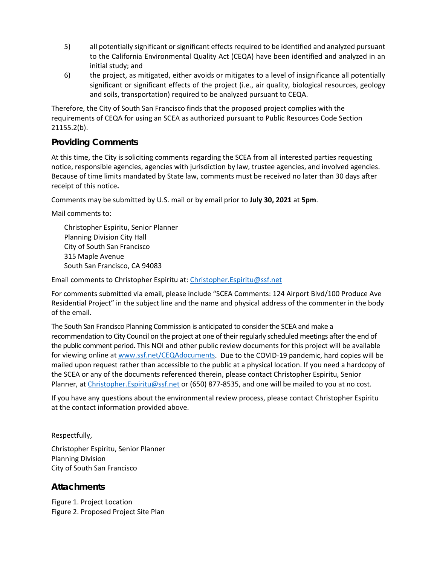- 5) all potentially significant or significant effects required to be identified and analyzed pursuant to the California Environmental Quality Act (CEQA) have been identified and analyzed in an initial study; and
- 6) the project, as mitigated, either avoids or mitigates to a level of insignificance all potentially significant or significant effects of the project (i.e., air quality, biological resources, geology and soils, transportation) required to be analyzed pursuant to CEQA.

Therefore, the City of South San Francisco finds that the proposed project complies with the requirements of CEQA for using an SCEA as authorized pursuant to Public Resources Code Section 21155.2(b).

#### **Providing Comments**

At this time, the City is soliciting comments regarding the SCEA from all interested parties requesting notice, responsible agencies, agencies with jurisdiction by law, trustee agencies, and involved agencies. Because of time limits mandated by State law, comments must be received no later than 30 days after receipt of this notice**.** 

Comments may be submitted by U.S. mail or by email prior to **July 30, 2021** at **5pm**.

Mail comments to:

Christopher Espiritu, Senior Planner Planning Division City Hall City of South San Francisco 315 Maple Avenue South San Francisco, CA 94083

Email comments to Christopher Espiritu at: [Christopher.Espiritu@ssf.net](mailto:Christopher.Espiritu@ssf.net)

For comments submitted via email, please include "SCEA Comments: 124 Airport Blvd/100 Produce Ave Residential Project" in the subject line and the name and physical address of the commenter in the body of the email.

The South San Francisco Planning Commission is anticipated to consider the SCEA and make a recommendation to City Council on the project at one of their regularly scheduled meetings after the end of the public comment period. This NOI and other public review documents for this project will be available for viewing online at [www.ssf.net/CEQAdocuments.](http://www.ssf.net/CEQAdocuments) Due to the COVID-19 pandemic, hard copies will be mailed upon request rather than accessible to the public at a physical location. If you need a hardcopy of the SCEA or any of the documents referenced therein, please contact Christopher Espiritu, Senior Planner, at Christopher. Espiritu@ssf.net or (650) 877-8535, and one will be mailed to you at no cost.

If you have any questions about the environmental review process, please contact Christopher Espiritu at the contact information provided above.

Respectfully,

Christopher Espiritu, Senior Planner Planning Division City of South San Francisco

### **Attachments**

[Figure 1.](#page-3-0) Project Location [Figure 2.](#page-4-0) Proposed Project Site Plan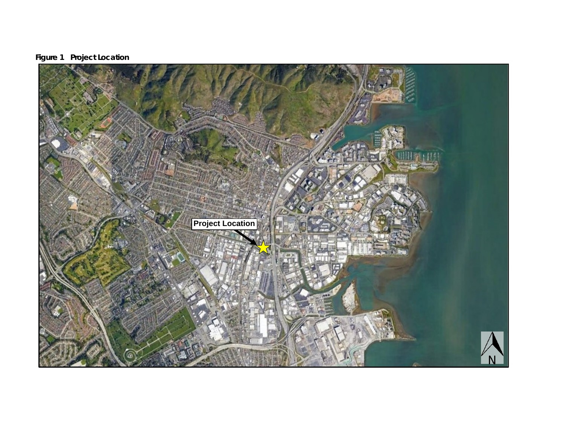

<span id="page-3-0"></span>